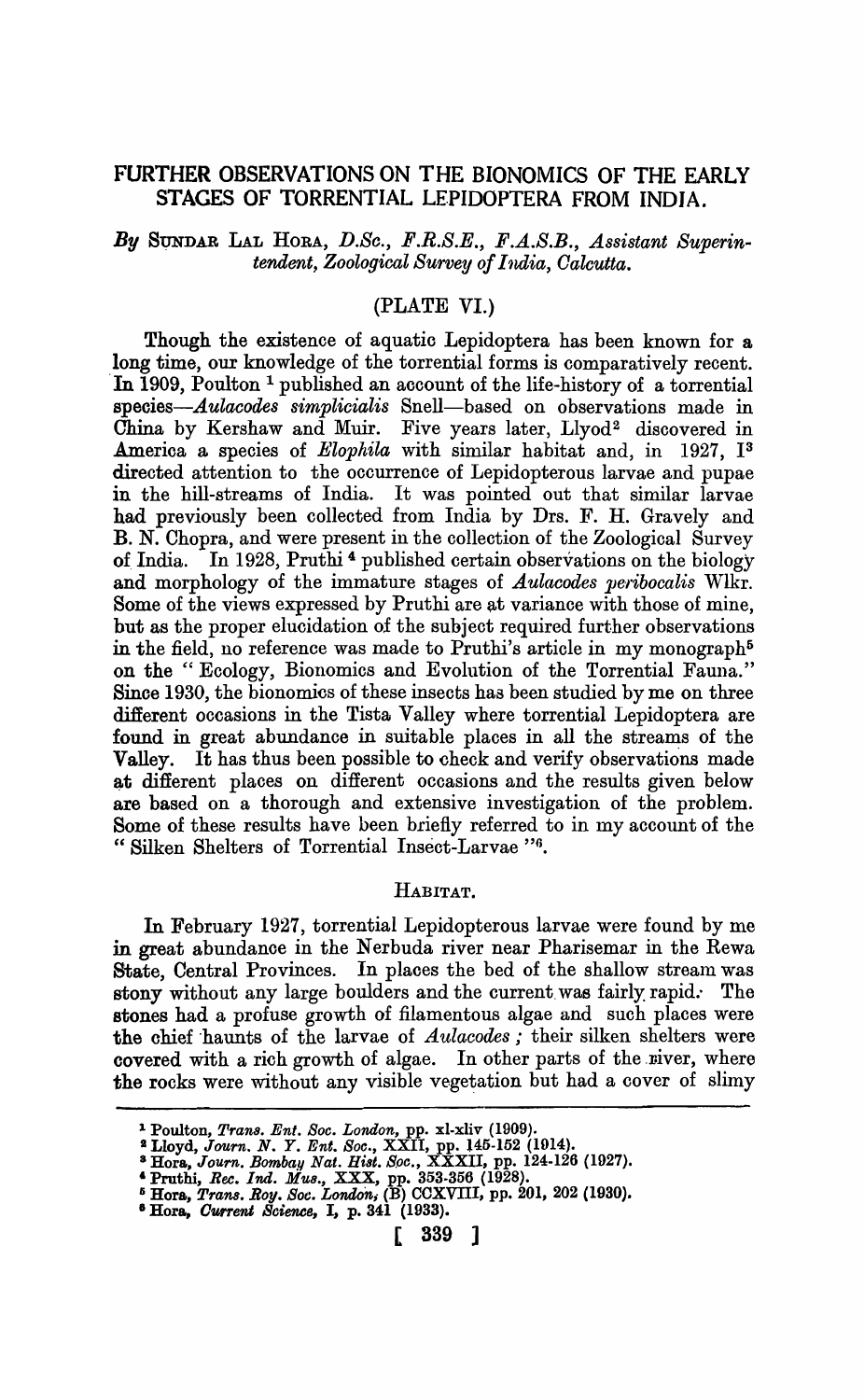# FURTHER OBSERVATIONS ON THE BIONOMICS OF THE EARLY STAGES OF TORRENTIAL LEPIDOPTERA FROM INDIA.

# *By* SVNDAR LAL HORA, *D.Se., F.R.S.E., B.A.S.B., Assistant Superintendent, Zoological Survey of India, Oaleutta.*

### (PLATE VI.)

Though the existence of aquatic Lepidoptera has been known for a long time, our knowledge of the torrential forms is comparatively recent. In 1909, Poulton<sup>1</sup> published an account of the life-history of a torrential *speoies-Aulaeodes simplicialis* Snell-based on observations made in China by Kershaw and Muir. Five years later, Llyod<sup>2</sup> discovered in Amerioa a species of *Elophila* with similar habitat and, in 1927, 13 directed attention to the occurrence of Lepidopterous larvae and pupae in the hill-streams of India. It was pointed out that similar larvae had previously been oollected from India by Drs. F. H. Gravely and B. N. Chopra, and were present in the collection of the Zoological Survey of India. In 1928, Pruthi<sup>4</sup> published certain observations on the biology and morphology of the immature stages of *A ulacodes pe·ribocalis* WIkr. Some of the views expressed by Pruthi are at variance with those of mine, but as the proper elucidation of the subject required further observations in the field, no reference was made to Pruthi's article in my monograph<sup>5</sup> on the" Ecology, Bionomics and Evolution of the Torrential Fauna." Sinoe 1930, the bionomics of these insects has been studied by me on three different occasions in the Tista Valley where torrential Lepidoptera are found in great abundance in suitable places in all the streams of the Valley. It has thus been possible to check and verify observations made at different places on different occasions and the results given below are based on a thorough and extensive investigation of the problem. Some of these results have been briefly referred to in my account of the " Silken Shelters of Torrential Insect-Larvae "6.

#### HABITAT.

In February 1927, torrential Lepidopterous larvae were found by me in great abundance in the Nerbuda river near Pharisemar in the Rewa State, Central Provinces. In places the bed of the shallow stream was stony without any large boulders and the current was fairly rapid. The stones had a profuse growth of filamentous algae and such places were the chief haunts of the larvae of *Aulacodes*; their silken shelters were covered with a rich growth of algae. In other parts of the niver, where the rocks were without any visible vegetation but had a cover of slimy

<sup>1</sup> Poulton, *Tran8. Ent. 80c. London,* pp. xl-xliv (1909).

<sup>:&</sup>amp; Lloyd, *Journ. N.* Y. *Ent. 80c.,* XXII, pp. l45-152 (1014).

<sup>&</sup>lt;sup>3</sup> Hora, *Journ. Bombay Nat. Hist. Soc.*,  $\widehat{\text{XXXII}}$ , pp. 124-126 (1927).

<sup>&</sup>amp; Pruthi, *Bee. Ind. MU8.,* XXX, pp. 353-356 (1928).

Ii Hora, *Trans. Roy. Soc. London;* (B) CCXVIII, pp. 201, 202 (1930).

<sup>8</sup> Hora, *O'lJl1'ent Science,* I, p. 341 (1933).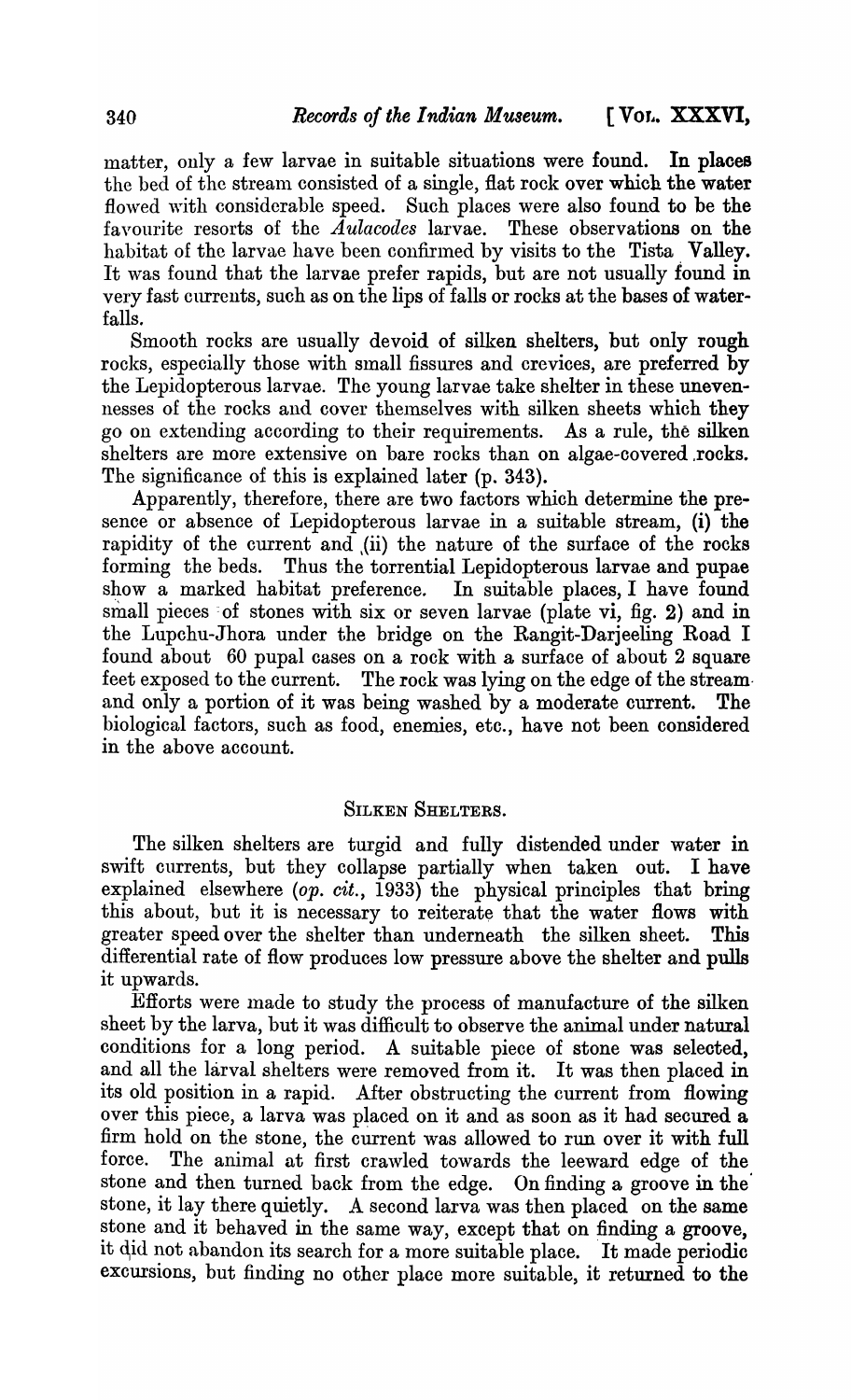matter, only a few larvae in suitable situations were found. **In** places the bed of the stream consisted of a single, flat rock over which the water flowed with considerable speed. Such places were also found to be the favourite resorts of the *Aulacodes* larvae. These observations on the favourite resorts of the  $\overline{A}$ ulacodes larvae. habitat of the larvae have been confirmed by visits to the Tista Valley. It was found that the larvae prefer rapids, but are not usually found in very fast currents, such as on the lips of falls or rocks at the bases of waterfalls.

Smooth rocks are usually devoid of silken shelters, but only rough rocks, especially those with small fissures and crevices, are preferred by the Lepidopterous larvae. The young larvae take shelter in these unevennesses of the rocks and cover themselves with silken sheets which they go on extending according to their requirements. As a rule, the silken shelters are more extensive on bare rocks than on algae-covered .rocks. The significance of this is explained later (p. 343).

Apparently, therefore, there are two factors which determine the presence or absence of Lepidopterous larvae in a suitable stream, (i) the rapidity of the current and ,(ii) the nature of the surface of the rocks forming the beds. Thus the torrential Lepidopterous larvae and pupae show a marked habitat preference. In suitable places, I have found small pieces of stones with six or seven larvae (plate vi, fig. 2) and in the Lupchu-Jhora under the bridge on the Rangit-Darjeeling Road I found about 60 pupal cases on a rock with a surface of about 2 square feet exposed to the current. The rock was lying on the edge of the stream· and only a portion of it was being washed by a moderate current. The biological factors, such as food, enemies, etc., have not been considered in the above account.

#### SILKEN SHELTERS.

The silken shelters are turgid and fully distended under water in swift currents, but they collapse partially when taken out. I have explained elsewhere *(op. cit.,* 1933) the physical principles that bring this about, but it is necessary to reiterate that the water flows with greater speed over the shelter than underneath the silken sheet. This differential rate of flow produces low pressure above the shelter and pulls it upwards.

Efforts were made to study the process of manufacture of the silken sheet by the larva, but it was difficult to observe the animal under natural conditions for a long period. A suitable piece of stone was selected, and all the larval shelters were removed from it. It was then placed in its old position in a rapid. After obstructing the current from flowing over this piece, a larva was placed on it and as soon as it had secured a firm hold on the stone, the current was allowed to run over it with full force. The animal at first crawled towards the leeward edge of the stone and then turned back from the edge. On finding a groove in the stone, it lay there quietly. A second larva was then placed on the same A second larva was then placed on the same stone and it behaved in the same way, except that on finding a groove, it did not abandon its search for a more suitable place. It made periodic excursions, but finding no other place more suitable, it returned to the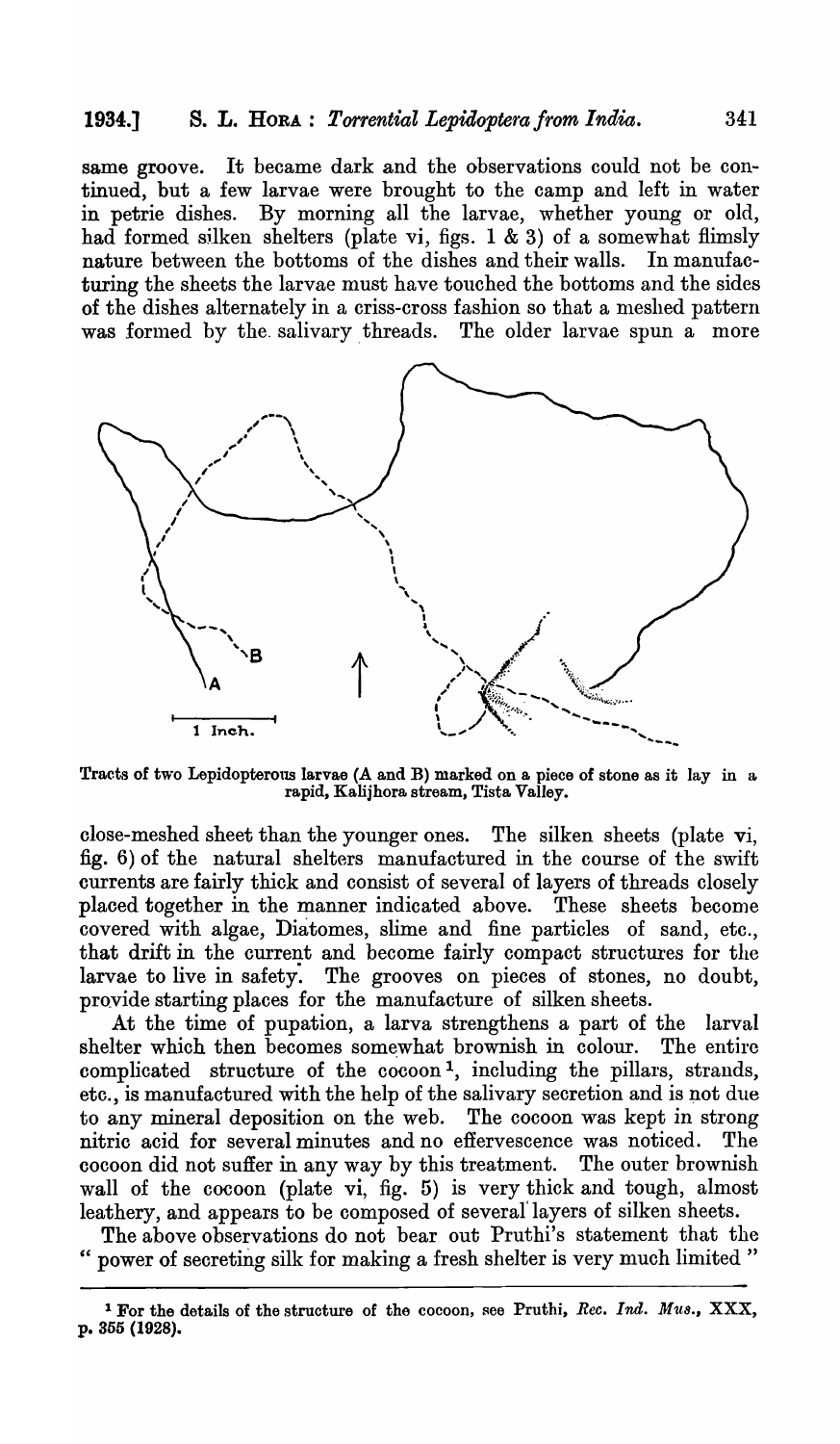# 1934.] s. L. HORA: *Torrential Lepidoptera from India.* 341

same groove. It became dark and the observations could not be continued, but a few larvae were brought to the camp and left in water in petrie dishes. By morning all the larvae, whether young or old, had formed silken shelters (plate vi, figs. 1 & 3) of a somewhat flimsly nature between the bottoms of the dishes and their walls. In manufacturing the sheets the larvae must have touched the bottoms and the sides of the dishes alternately in a criss-cross fashion so that a meshed pattern was formed by the salivary threads. The older larvae spun a more



Tracts of two Lepidopterous larvae (A and B) marked on a piece of stone as it lay in a rapid, Kalijhora stream, Tista Valley.

close-meshed sheet than the younger ones. The silken sheets (plate vi, fig. 6) of the natural shelters manufactured in the course of the swift currents are fairly thick and consist of several of layers of threads closely placed together in the manner indicated above. These sheets become covered with algae, Diatomes, slime and fine particles of sand, etc., that drift in the current and become fairly compact structures for the larvae to live in safety. The grooves on pieces of stones, no doubt, provide starting places for the manufacture of silken sheets.

At the time of pupation, a larva strengthens a part of the larval shelter which then becomes somewhat brownish in colour. The entire complicated structure of the cocoon 1, including the pillars, strands, etc., is manufactured with the help of the salivary secretion and is not due to any mineral deposition on the web. The cocoon was kept in strong nitric acid for several minutes and no effervescence was noticed. The cocoon did not suffer in any way by this treatment. The outer brownish wall of the cocoon (plate vi, fig. 5) is very thick and tough, almost leathery, and appears to be composed of several' layers of silken sheets.

The above observations do not bear out Pruthi's statement that the power of secreting silk for making a fresh shelter is very much limited"

<sup>&</sup>lt;sup>1</sup> For the details of the structure of the cocoon, see Pruthi, *Rec. Ind. Mus.*, XXX, p. 355 (1928).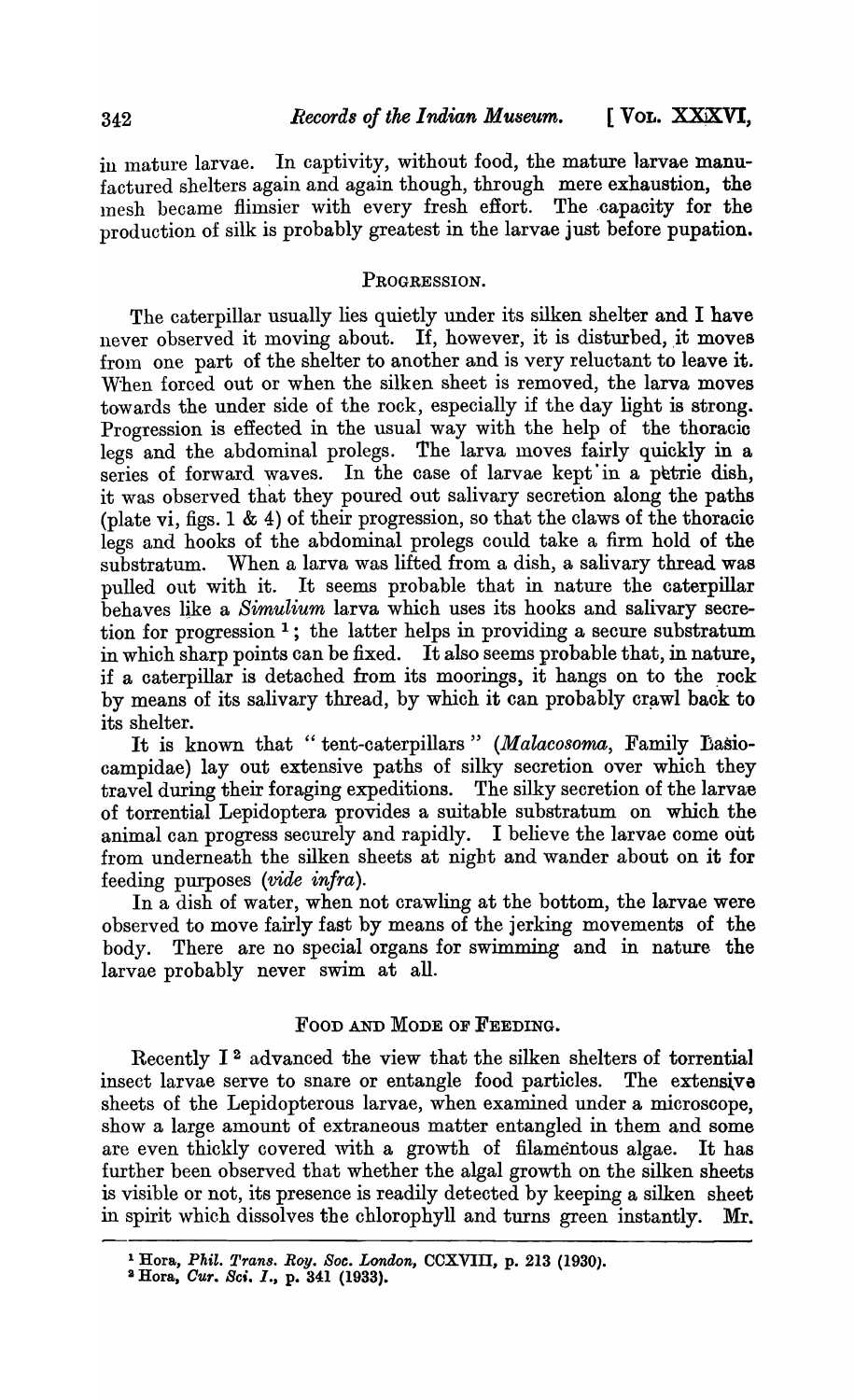in mature larvae. In captivity, without food, the mature larvae manufactured shelters again and again though, through mere exhaustion, the mesh became flimsier with every fresh effort. The capacity for the production of silk is probably greatest in the larvae just before pupation.

# PROGRESSION.

The caterpillar usually lies quietly under its silken shelter and I have never observed it moving about. If, however, it is disturbed, it moves from one part of the shelter to another and is very reluctant to leave it. When forced out or when the silken sheet is removed, the larva moves towards the under side of the rock, especially if the day light is strong. Progression is effected in the usual way with the help of the thoracio legs and the abdominal prolegs. The larva moves fairly quickly in a series of forward waves. In the case of larvae kept in a petrie dish, it was observed that they poured out salivary secretion along the paths (plate vi, figs. 1 & 4) of their progression, so that the claws of the thoracic legs and hooks of the abdominal prolegs could take a firm hold of the substratum. When a larva was lifted from a dish, a salivary thread was pulled out with it. It seems probable that in nature the caterpillar behaves like a *Simulium* larva which uses its hooks and salivary secretion for progression  $<sup>1</sup>$ ; the latter helps in providing a secure substratum.</sup> in which sharp points can be fixed. It also seems probable that, in nature, if a caterpillar is detached from its moorings, it hangs on to the rock by means of its salivary thread, by which it can probably crawl back to its shelter.

It is known that "tent-caterpillars" *(Malacosoma,* Family Dasiocampidae) lay out extensive paths of silky secretion over which they travel during their foraging expeditions. The silky secretion of the larvae travel during their foraging expeditions. of torrential Lepidoptera provides a suitable substratum on which the animal can progress securely and rapidly. I believe the larvae come out from underneath the silken sheets at nigbt and wander about on it for feeding purposes *(vide infra).* 

In a dish of water, when not crawling at the bottom, the larvae were observed to move fairly fast by means of the jerking movements of the body. There are no special organs for swimming and in nature the larvae probably never swim at all.

### FOOD AND MODE OF FEEDING.

Recently 12 advanced the view that the silken shelters of torrential insect larvae serve to snare or entangle food particles. The extensive sheets of the Lepidopterous larvae, when examined under a microsoope, show a large amount of extraneous matter entangled in them and some are even thickly covered with a growth of filamentous algae. It has further been observed that whether the algal growth on the silken sheets is visible or not, its presence is readily detected by keeping a silken sheet in spirit which dissolves the chlorophyll and turns green instantly. Mr.

<sup>&</sup>lt;sup>1</sup> Hora, *Phil. Trans. Roy. Soc. London, CCXVIII, p. 213 (1930).* 

<sup>&</sup>lt;sup>2</sup> Hora, *Cur. Sci. I.*, p. 341 (1933).